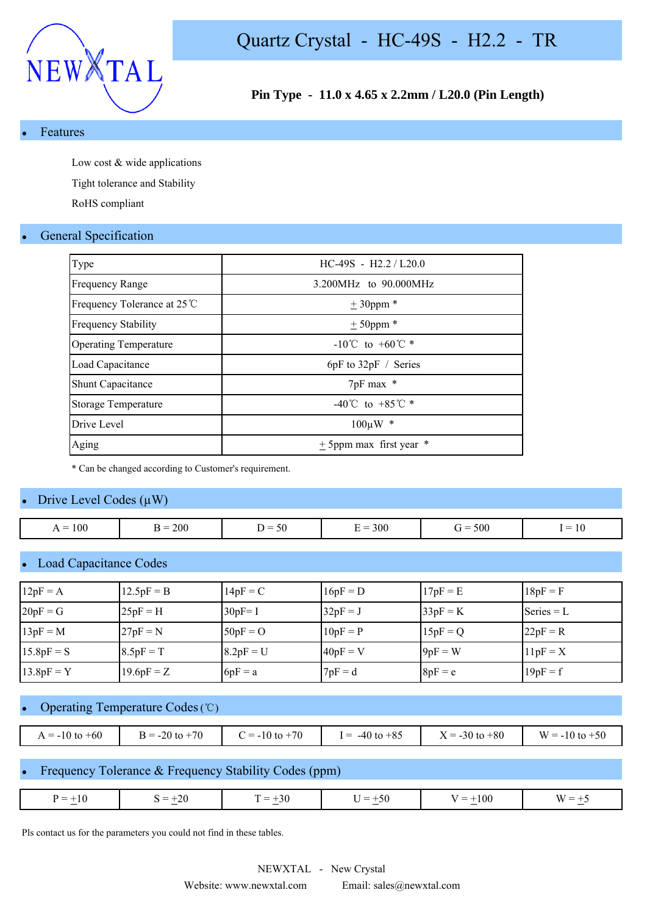

### **Pin Type - 11.0 x 4.65 x 2.2mm / L20.0 (Pin Length)**

#### **Features**

Low cost & wide applications

Tight tolerance and Stability

RoHS compliant

#### **General Specification**

| Type                         | $HC-49S - H2.2 / L20.0$              |
|------------------------------|--------------------------------------|
| <b>Frequency Range</b>       | 3.200MHz to 90.000MHz                |
| Frequency Tolerance at 25 ℃  | $± 30$ ppm $*$                       |
| <b>Frequency Stability</b>   | $± 50$ ppm $*$                       |
| <b>Operating Temperature</b> | $-10^{\circ}$ C to $+60^{\circ}$ C * |
| Load Capacitance             | 6pF to 32pF / Series                 |
| <b>Shunt Capacitance</b>     | 7pF max *                            |
| <b>Storage Temperature</b>   | -40°C to +85°C $*$                   |
| Drive Level                  | $100 \mu W$ *                        |
| Aging                        | $+$ 5ppm max first year $*$          |

\* Can be changed according to Customer's requirement.

#### Drive Level Codes  $(\mu W)$

| $= 300$<br>100<br>$\sim$<br>$G = 500$<br>$= 200$<br>$R =$<br>$=$<br>υc<br>$\overline{\phantom{a}}$<br>$\mathbf{1} \mathbf{U}$<br>ມ |  |  |  |
|------------------------------------------------------------------------------------------------------------------------------------|--|--|--|
|                                                                                                                                    |  |  |  |

#### **Load Capacitance Codes**

| $12pF = A$   | $12.5pF = B$ | $14pF = C$  | $16pF = D$ | $17pF = E$ | $18pF = F$   |
|--------------|--------------|-------------|------------|------------|--------------|
| $20pF = G$   | $25pF = H$   | $30pF = I$  | $32pF = J$ | $33pF = K$ | Series $= L$ |
| $13pF = M$   | $27pF = N$   | $50pF = O$  | $10pF = P$ | $15pF = Q$ | $22pF = R$   |
| $15.8pF = S$ | $8.5pF = T$  | $8.2pF = U$ | $40pF = V$ | $9pF = W$  | $11pF = X$   |
| $13.8pF = Y$ | $19.6pF = Z$ | $6pF = a$   | $7pF = d$  | $8pF = e$  | $19pF = f$   |

# Operating Temperature Codes (℃)

| $= -10$ to $+60$ | $= -20$ to $+70$ | $-10$ to $+70$<br>- | $-40$ to $+85$<br>$=$ | $+80$<br>$= -30$ to<br>$\overline{\phantom{0}}$ | W<br>$-10$ to $+50$<br>$=$ |
|------------------|------------------|---------------------|-----------------------|-------------------------------------------------|----------------------------|

#### Frequency Tolerance & Frequency Stability Codes (ppm)

|  | $\mathbf{v} =$<br><b>Contract Contract Contract Contract</b> | -20<br>_<br>and the second second second and | 70 V<br>. <del>.</del> | $\cdots$ | -<br>.<br>$\sim$ | $\mathbf{M}$ |
|--|--------------------------------------------------------------|----------------------------------------------|------------------------|----------|------------------|--------------|
|--|--------------------------------------------------------------|----------------------------------------------|------------------------|----------|------------------|--------------|

Pls contact us for the parameters you could not find in these tables.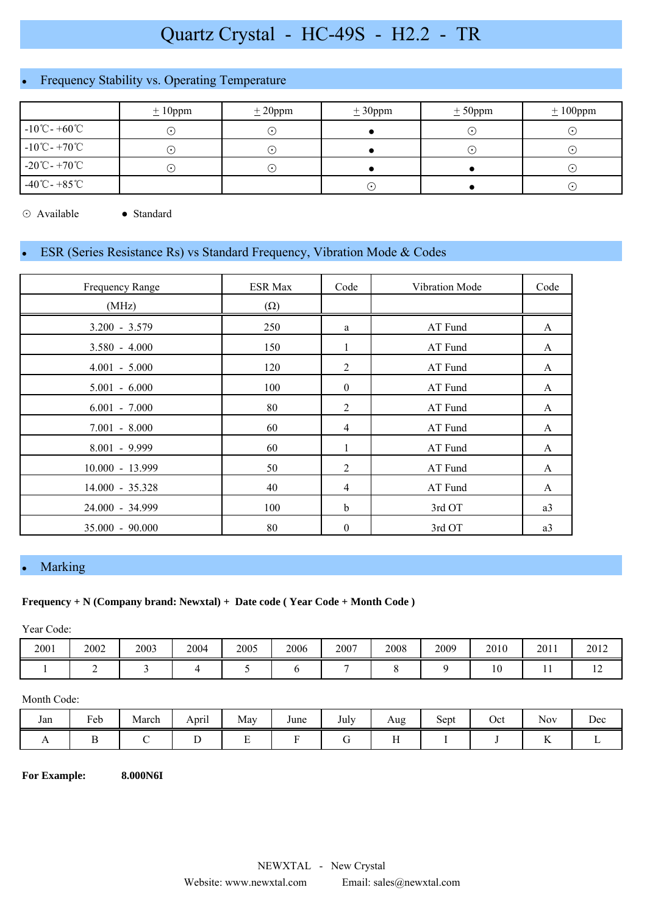# Frequency Stability vs. Operating Temperature

|                                   | $\pm 10$ ppm           | ± 20 ppm                   | $\pm 30$ ppm | $± 50$ ppm | $\pm 100$ ppm |
|-----------------------------------|------------------------|----------------------------|--------------|------------|---------------|
| $-10^{\circ}$ C - $+60^{\circ}$ C | $(\cdot)$              | $(\,\boldsymbol{\cdot}\,)$ |              | $\cdot$ .  | ( •           |
| $-10^{\circ}$ C - $+70^{\circ}$ C | $(\cdot)$              | $(\bullet)$                |              | ۰.         | ( •           |
| $-20^{\circ}$ C - $+70^{\circ}$ C | $(\boldsymbol{\cdot})$ | $(\,\boldsymbol{\cdot}\,)$ |              |            | ( •           |
| $-40^{\circ}$ C - $+85^{\circ}$ C |                        |                            |              |            | (∙            |

⊙ Available ● Standard

# ESR (Series Resistance Rs) vs Standard Frequency, Vibration Mode & Codes

| Frequency Range   | <b>ESR Max</b> | Code             | Vibration Mode | Code         |
|-------------------|----------------|------------------|----------------|--------------|
| (MHz)             | $(\Omega)$     |                  |                |              |
| $3.200 - 3.579$   | 250            | a                | AT Fund        | A            |
| $3.580 - 4.000$   | 150            | 1                | AT Fund        | A            |
| $4.001 - 5.000$   | 120            | 2                | AT Fund        | $\mathbf{A}$ |
| $5.001 - 6.000$   | 100            | $\boldsymbol{0}$ | AT Fund        | A            |
| $6.001 - 7.000$   | 80             | 2                | AT Fund        | A            |
| $7.001 - 8.000$   | 60             | 4                | AT Fund        | A            |
| $8.001 - 9.999$   | 60             | 1                | AT Fund        | A            |
| 10.000 - 13.999   | 50             | 2                | AT Fund        | A            |
| 14.000 - 35.328   | 40             | 4                | AT Fund        | A            |
| 24.000 - 34.999   | 100            | b                | 3rd OT         | a3           |
| $35.000 - 90.000$ | 80             | 0                | 3rd OT         | a3           |

### Marking

#### **Frequency + N (Company brand: Newxtal) + Date code ( Year Code + Month Code )**

Year Code:

| 2001 | 2002 | 2003 | 2004 | 2005 | 2006 | 2007 | 2008 | 2009 | 2010 | 2011 | 2012           |
|------|------|------|------|------|------|------|------|------|------|------|----------------|
|      |      |      |      |      |      |      |      |      |      | . .  | $\overline{ }$ |

#### Month Code:

| Jan | <b>D</b><br>- 1<br>reb<br>. . | $\mathbf{r}$<br>March | $\cdot$ .<br>April | May    | June | July<br>$\sim$ | Aug<br>- C                   | $\sim$<br>Sept | Oct | - -<br><b>NOV</b>                       | Dec |
|-----|-------------------------------|-----------------------|--------------------|--------|------|----------------|------------------------------|----------------|-----|-----------------------------------------|-----|
| . . |                               |                       | ້                  | -<br>- |      |                | $\mathbf{r}$<br>$\mathbf{r}$ |                |     | $\mathbf{r}$<br>$\overline{\mathbf{r}}$ |     |

**For Example: 8.000N6I**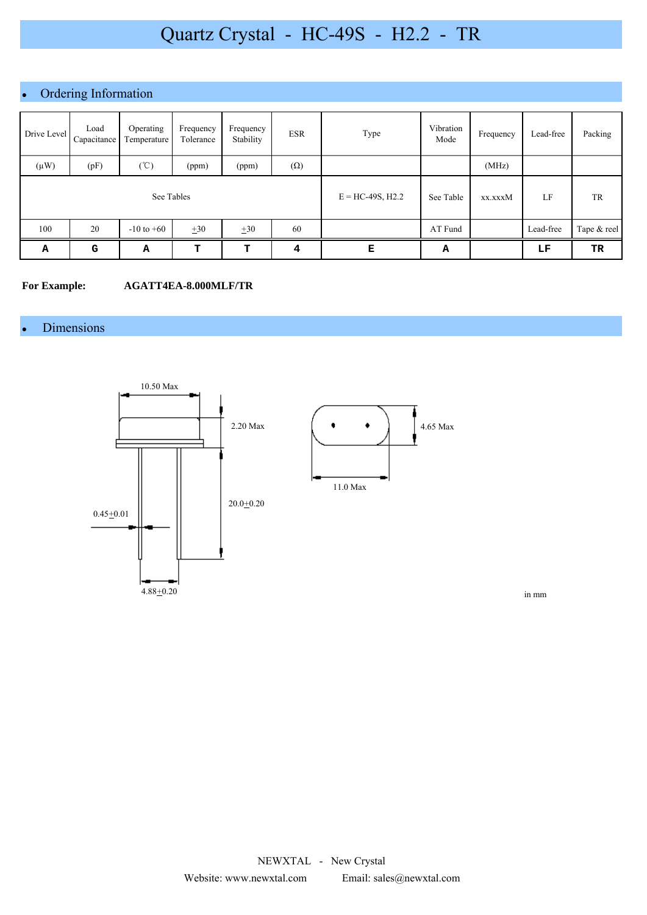# • Ordering Information

| Drive Level | Load<br>Capacitance | Operating<br>Temperature | Frequency<br>Tolerance | Frequency<br>Stability | <b>ESR</b> | Type               | Vibration<br>Mode | Frequency | Lead-free | Packing     |
|-------------|---------------------|--------------------------|------------------------|------------------------|------------|--------------------|-------------------|-----------|-----------|-------------|
| $(\mu W)$   | (pF)                | $(\degree C)$            | (ppm)                  | (ppm)                  | $(\Omega)$ |                    |                   | (MHz)     |           |             |
|             |                     | See Tables               |                        |                        |            | $E = HC-49S, H2.2$ | See Table         | xx.xxxM   | LF        | TR          |
| 100         | 20                  | $-10$ to $+60$           | $\pm 30$               | $\pm 30$               | 60         |                    | AT Fund           |           | Lead-free | Tape & reel |
| Α           | G                   | А                        | т                      | т                      | 4          | Е                  | А                 |           | LF        | TR          |

#### **For Example: AGATT4EA-8.000MLF/TR**

### **Dimensions**



in mm